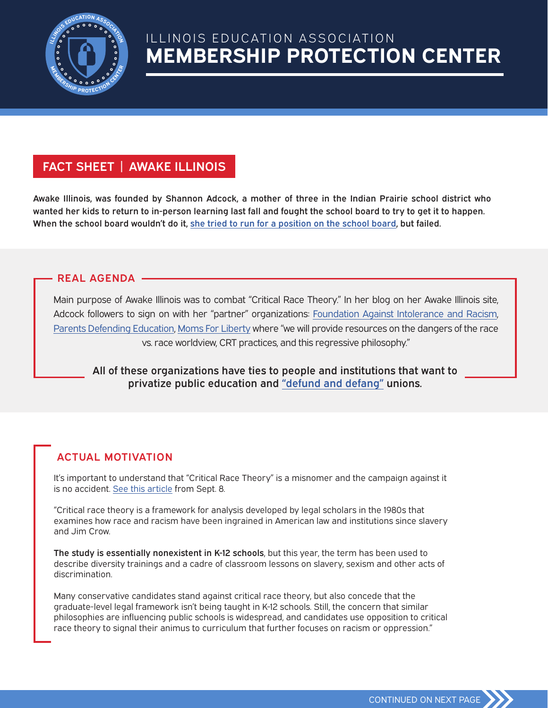

# **MEMBERSHIP PROTECTION CENTER** ILLINOIS EDUCATION ASSOCIATION

## FACT SHEET | AWAKE ILLINOIS

Awake Illinois, was founded by Shannon Adcock, a mother of three in the Indian Prairie school district who wanted her kids to return to in-person learning last fall and fought the school board to try to get it to happen. When the school board wouldn't do it, she tried to run for a position on the school board, but failed.

### REAL AGENDA

Main purpose of Awake Illinois was to combat "Critical Race Theory." In her blog on her Awake Illinois site, Adcock followers to sign on with her "partner" organizations: Foundation Against Intolerance and Racism, Parents Defending Education, Moms For Liberty where "we will provide resources on the dangers of the race vs. race worldview, CRT practices, and this regressive philosophy."

All of these organizations have ties to people and institutions that want to privatize public education and "defund and defang" unions.

## ACTUAL MOTIVATION

It's important to understand that "Critical Race Theory" is a misnomer and the campaign against it is no accident. See this article from Sept. 8.

"Critical race theory is a framework for analysis developed by legal scholars in the 1980s that examines how race and racism have been ingrained in American law and institutions since slavery and Jim Crow.

The study is essentially nonexistent in K-12 schools, but this year, the term has been used to describe diversity trainings and a cadre of classroom lessons on slavery, sexism and other acts of discrimination.

Many conservative candidates stand against critical race theory, but also concede that the graduate-level legal framework isn't being taught in K-12 schools. Still, the concern that similar philosophies are influencing public schools is widespread, and candidates use opposition to critical race theory to signal their animus to curriculum that further focuses on racism or oppression."